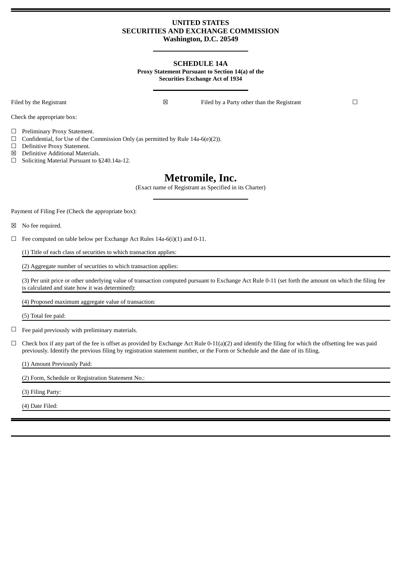# **UNITED STATES SECURITIES AND EXCHANGE COMMISSION Washington, D.C. 20549**

## **SCHEDULE 14A Proxy Statement Pursuant to Section 14(a) of the Securities Exchange Act of 1934**

Check the appropriate box:

Filed by the Registrant ◯ **N** Filed by a Party other than the Registrant ◯

☐ Preliminary Proxy Statement.

 $\Box$  Confidential, for Use of the Commission Only (as permitted by Rule 14a-6(e)(2)).

- ☐ Definitive Proxy Statement.
- ☒ Definitive Additional Materials.
- ☐ Soliciting Material Pursuant to §240.14a-12.

# **Metromile, Inc.**

(Exact name of Registrant as Specified in its Charter)

Payment of Filing Fee (Check the appropriate box):

☒ No fee required.

 $\Box$  Fee computed on table below per Exchange Act Rules 14a-6(i)(1) and 0-11.

(1) Title of each class of securities to which transaction applies:

(2) Aggregate number of securities to which transaction applies:

(3) Per unit price or other underlying value of transaction computed pursuant to Exchange Act Rule 0-11 (set forth the amount on which the filing fee is calculated and state how it was determined):

(4) Proposed maximum aggregate value of transaction:

(5) Total fee paid:

 $\Box$  Fee paid previously with preliminary materials.

 $\Box$  Check box if any part of the fee is offset as provided by Exchange Act Rule 0-11(a)(2) and identify the filing for which the offsetting fee was paid previously. Identify the previous filing by registration statement number, or the Form or Schedule and the date of its filing.

(1) Amount Previously Paid:

(2) Form, Schedule or Registration Statement No.:

(3) Filing Party:

(4) Date Filed: